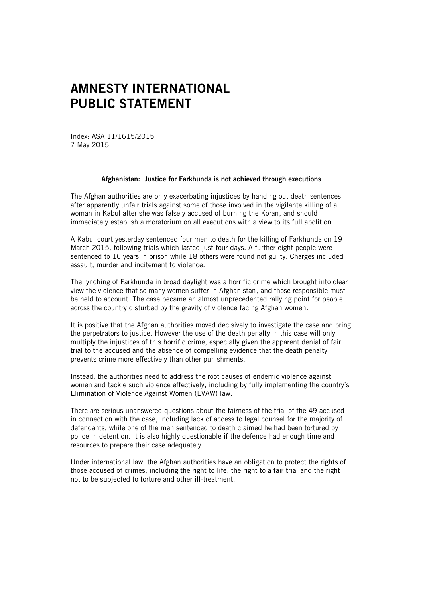## **AMNESTY INTERNATIONAL PUBLIC STATEMENT**

Index: ASA 11/1615/2015 7 May 2015

## **Afghanistan: Justice for Farkhunda is not achieved through executions**

The Afghan authorities are only exacerbating injustices by handing out death sentences after apparently unfair trials against some of those involved in the vigilante killing of a woman in Kabul after she was falsely accused of burning the Koran, and should immediately establish a moratorium on all executions with a view to its full abolition.

A Kabul court yesterday sentenced four men to death for the killing of Farkhunda on 19 March 2015, following trials which lasted just four days. A further eight people were sentenced to 16 years in prison while 18 others were found not guilty. Charges included assault, murder and incitement to violence.

The lynching of Farkhunda in broad daylight was a horrific crime which brought into clear view the violence that so many women suffer in Afghanistan, and those responsible must be held to account. The case became an almost unprecedented rallying point for people across the country disturbed by the gravity of violence facing Afghan women.

It is positive that the Afghan authorities moved decisively to investigate the case and bring the perpetrators to justice. However the use of the death penalty in this case will only multiply the injustices of this horrific crime, especially given the apparent denial of fair trial to the accused and the absence of compelling evidence that the death penalty prevents crime more effectively than other punishments.

Instead, the authorities need to address the root causes of endemic violence against women and tackle such violence effectively, including by fully implementing the country's Elimination of Violence Against Women (EVAW) law.

There are serious unanswered questions about the fairness of the trial of the 49 accused in connection with the case, including lack of access to legal counsel for the majority of defendants, while one of the men sentenced to death claimed he had been tortured by police in detention. It is also highly questionable if the defence had enough time and resources to prepare their case adequately.

Under international law, the Afghan authorities have an obligation to protect the rights of those accused of crimes, including the right to life, the right to a fair trial and the right not to be subjected to torture and other ill-treatment.